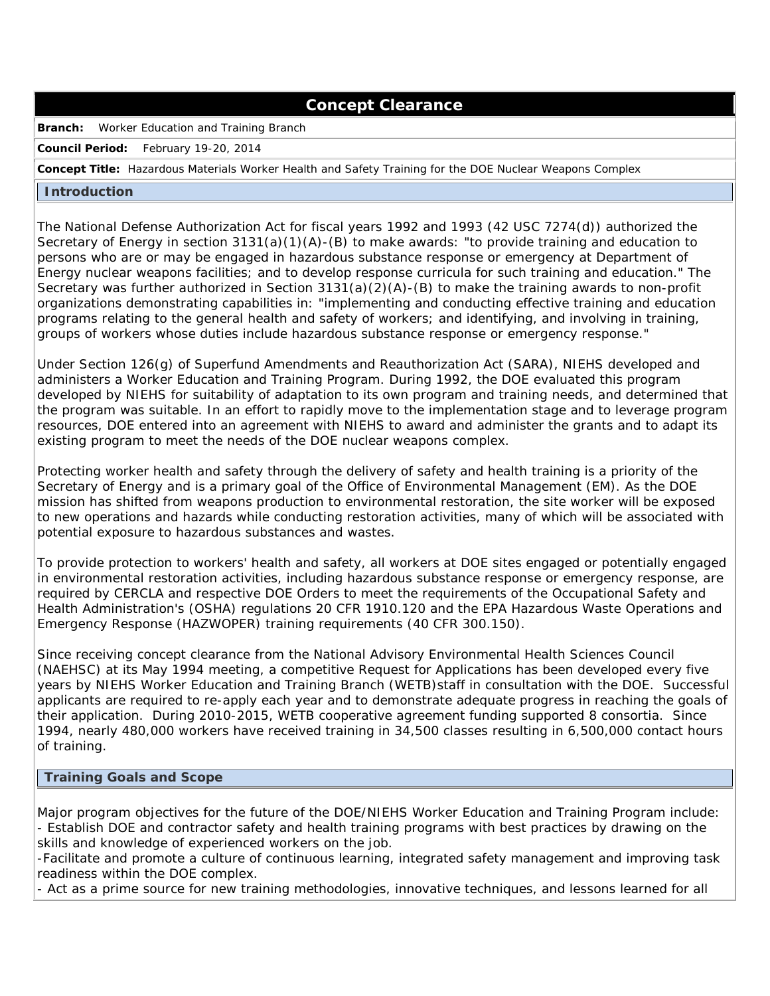## **Concept Clearance**

**Branch:** Worker Education and Training Branch

**Council Period:** February 19-20, 2014

**Concept Title:** Hazardous Materials Worker Health and Safety Training for the DOE Nuclear Weapons Complex

## **Introduction**

 The National Defense Authorization Act for fiscal years 1992 and 1993 (42 USC 7274(d)) authorized the Secretary of Energy in section 3131(a)(1)(A)-(B) to make awards: "to provide training and education to persons who are or may be engaged in hazardous substance response or emergency at Department of Energy nuclear weapons facilities; and to develop response curricula for such training and education." The Secretary was further authorized in Section 3131(a)(2)(A)-(B) to make the training awards to non-profit organizations demonstrating capabilities in: "implementing and conducting effective training and education programs relating to the general health and safety of workers; and identifying, and involving in training, groups of workers whose duties include hazardous substance response or emergency response."

 Under Section 126(g) of Superfund Amendments and Reauthorization Act (SARA), NIEHS developed and administers a Worker Education and Training Program. During 1992, the DOE evaluated this program developed by NIEHS for suitability of adaptation to its own program and training needs, and determined that the program was suitable. In an effort to rapidly move to the implementation stage and to leverage program resources, DOE entered into an agreement with NIEHS to award and administer the grants and to adapt its existing program to meet the needs of the DOE nuclear weapons complex.

 Protecting worker health and safety through the delivery of safety and health training is a priority of the Secretary of Energy and is a primary goal of the Office of Environmental Management (EM). As the DOE mission has shifted from weapons production to environmental restoration, the site worker will be exposed to new operations and hazards while conducting restoration activities, many of which will be associated with potential exposure to hazardous substances and wastes.

 To provide protection to workers' health and safety, all workers at DOE sites engaged or potentially engaged in environmental restoration activities, including hazardous substance response or emergency response, are required by CERCLA and respective DOE Orders to meet the requirements of the Occupational Safety and Health Administration's (OSHA) regulations 20 CFR 1910.120 and the EPA Hazardous Waste Operations and Emergency Response (HAZWOPER) training requirements (40 CFR 300.150).

 Since receiving concept clearance from the National Advisory Environmental Health Sciences Council (NAEHSC) at its May 1994 meeting, a competitive Request for Applications has been developed every five years by NIEHS Worker Education and Training Branch (WETB)staff in consultation with the DOE. Successful applicants are required to re-apply each year and to demonstrate adequate progress in reaching the goals of their application. During 2010-2015, WETB cooperative agreement funding supported 8 consortia. Since 1994, nearly 480,000 workers have received training in 34,500 classes resulting in 6,500,000 contact hours of training.

## **Training Goals and Scope**

 Major program objectives for the future of the DOE/NIEHS Worker Education and Training Program include: - Establish DOE and contractor safety and health training programs with best practices by drawing on the skills and knowledge of experienced workers on the job.

 -Facilitate and promote a culture of continuous learning, integrated safety management and improving task readiness within the DOE complex.

- Act as a prime source for new training methodologies, innovative techniques, and lessons learned for all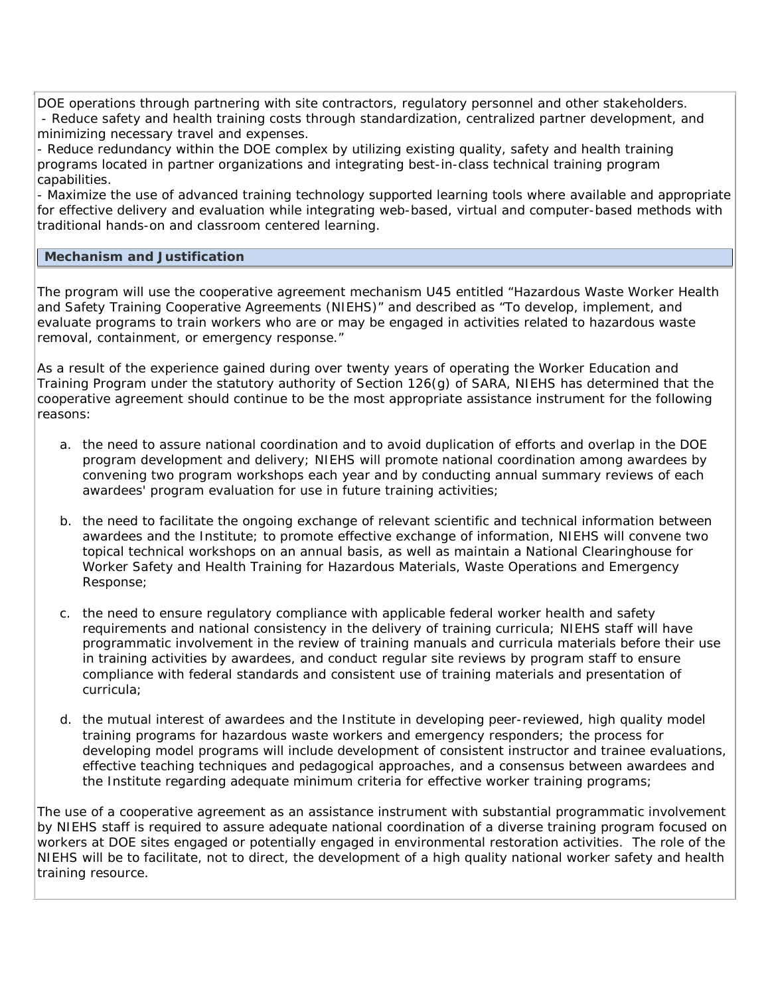DOE operations through partnering with site contractors, regulatory personnel and other stakeholders. - Reduce safety and health training costs through standardization, centralized partner development, and minimizing necessary travel and expenses.

- Reduce redundancy within the DOE complex by utilizing existing quality, safety and health training programs located in partner organizations and integrating best-in-class technical training program capabilities.

- Maximize the use of advanced training technology supported learning tools where available and appropriate for effective delivery and evaluation while integrating web-based, virtual and computer-based methods with traditional hands-on and classroom centered learning.

## **Mechanism and Justification**

The program will use the cooperative agreement mechanism U45 entitled "Hazardous Waste Worker Health and Safety Training Cooperative Agreements (NIEHS)" and described as "To develop, implement, and evaluate programs to train workers who are or may be engaged in activities related to hazardous waste removal, containment, or emergency response."

As a result of the experience gained during over twenty years of operating the Worker Education and Training Program under the statutory authority of Section 126(g) of SARA, NIEHS has determined that the cooperative agreement should continue to be the most appropriate assistance instrument for the following reasons:

- a. the need to assure national coordination and to avoid duplication of efforts and overlap in the DOE program development and delivery; NIEHS will promote national coordination among awardees by convening two program workshops each year and by conducting annual summary reviews of each awardees' program evaluation for use in future training activities;
- b. the need to facilitate the ongoing exchange of relevant scientific and technical information between awardees and the Institute; to promote effective exchange of information, NIEHS will convene two topical technical workshops on an annual basis, as well as maintain a National Clearinghouse for Worker Safety and Health Training for Hazardous Materials, Waste Operations and Emergency Response;
- c. the need to ensure regulatory compliance with applicable federal worker health and safety requirements and national consistency in the delivery of training curricula; NIEHS staff will have programmatic involvement in the review of training manuals and curricula materials before their use in training activities by awardees, and conduct regular site reviews by program staff to ensure compliance with federal standards and consistent use of training materials and presentation of curricula;
- d. the mutual interest of awardees and the Institute in developing peer-reviewed, high quality model training programs for hazardous waste workers and emergency responders; the process for developing model programs will include development of consistent instructor and trainee evaluations, effective teaching techniques and pedagogical approaches, and a consensus between awardees and the Institute regarding adequate minimum criteria for effective worker training programs;

The use of a cooperative agreement as an assistance instrument with substantial programmatic involvement by NIEHS staff is required to assure adequate national coordination of a diverse training program focused on workers at DOE sites engaged or potentially engaged in environmental restoration activities. The role of the NIEHS will be to facilitate, not to direct, the development of a high quality national worker safety and health raining resource. t